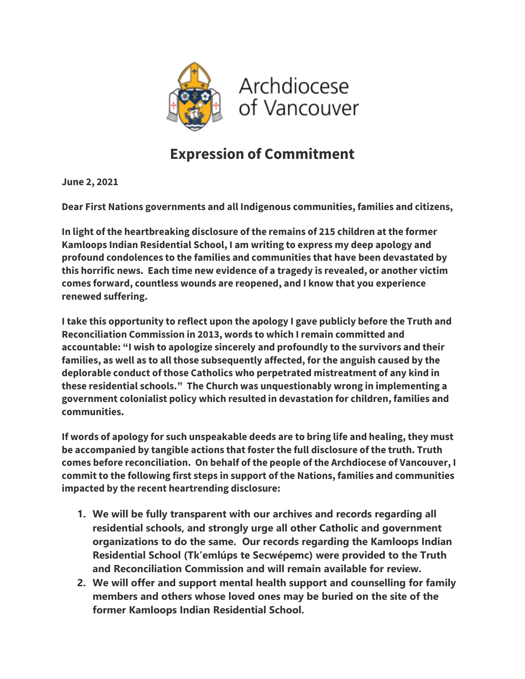

## **Expression of Commitment**

**June 2, 2021**

**Dear First Nations governments and all Indigenous communities, families and citizens,**

**In light of the heartbreaking disclosure of the remains of 215 children at the former Kamloops Indian Residential School, I am writing to express my deep apology and profound condolences to the families and communities that have been devastated by this horrific news. Each time new evidence of a tragedy is revealed, or another victim comes forward, countless wounds are reopened, and I know that you experience renewed suffering.** 

**I take this opportunity to reflect upon the apology I gave publicly before the Truth and Reconciliation Commission in 2013, words to which I remain committed and accountable: "I wish to apologize sincerely and profoundly to the survivors and their families, as well as to all those subsequently affected, for the anguish caused by the deplorable conduct of those Catholics who perpetrated mistreatment of any kind in these residential schools." The Church was unquestionably wrong in implementing a government colonialist policy which resulted in devastation for children, families and communities.**

**If words of apology for such unspeakable deeds are to bring life and healing, they must be accompanied by tangible actions that foster the full disclosure of the truth. Truth comes before reconciliation. On behalf of the people of the Archdiocese of Vancouver, I commit to the following first steps in support of the Nations, families and communities impacted by the recent heartrending disclosure:**

- **1. We will be fully transparent with our archives and records regarding all residential schools, and strongly urge all other Catholic and government organizations to do the same. Our records regarding the Kamloops Indian Residential School (Tk'emlúps te Secwépemc) were provided to the Truth and Reconciliation Commission and will remain available for review.**
- **2. We will offer and support mental health support and counselling for family members and others whose loved ones may be buried on the site of the former Kamloops Indian Residential School.**